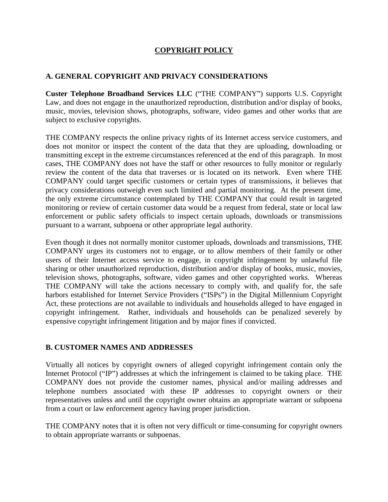## **COPYRIGHT POLICY**

## **A. GENERAL COPYRIGHT AND PRIVACY CONSIDERATIONS**

**Custer Telephone Broadband Services LLC** ("THE COMPANY") supports U.S. Copyright Law, and does not engage in the unauthorized reproduction, distribution and/or display of books, music, movies, television shows, photographs, software, video games and other works that are subject to exclusive copyrights.

THE COMPANY respects the online privacy rights of its Internet access service customers, and does not monitor or inspect the content of the data that they are uploading, downloading or transmitting except in the extreme circumstances referenced at the end of this paragraph. In most cases, THE COMPANY does not have the staff or other resources to fully monitor or regularly review the content of the data that traverses or is located on its network. Even where THE COMPANY could target specific customers or certain types of transmissions, it believes that privacy considerations outweigh even such limited and partial monitoring. At the present time, the only extreme circumstance contemplated by THE COMPANY that could result in targeted monitoring or review of certain customer data would be a request from federal, state or local law enforcement or public safety officials to inspect certain uploads, downloads or transmissions pursuant to a warrant, subpoena or other appropriate legal authority.

Even though it does not normally monitor customer uploads, downloads and transmissions, THE COMPANY urges its customers not to engage, or to allow members of their family or other users of their Internet access service to engage, in copyright infringement by unlawful file sharing or other unauthorized reproduction, distribution and/or display of books, music, movies, television shows, photographs, software, video games and other copyrighted works. Whereas THE COMPANY will take the actions necessary to comply with, and qualify for, the safe harbors established for Internet Service Providers ("ISPs") in the Digital Millennium Copyright Act, these protections are not available to individuals and households alleged to have engaged in copyright infringement. Rather, individuals and households can be penalized severely by expensive copyright infringement litigation and by major fines if convicted.

## **B. CUSTOMER NAMES AND ADDRESSES**

Virtually all notices by copyright owners of alleged copyright infringement contain only the Internet Protocol ("IP") addresses at which the infringement is claimed to be taking place. THE COMPANY does not provide the customer names, physical and/or mailing addresses and telephone numbers associated with these IP addresses to copyright owners or their representatives unless and until the copyright owner obtains an appropriate warrant or subpoena from a court or law enforcement agency having proper jurisdiction.

THE COMPANY notes that it is often not very difficult or time-consuming for copyright owners to obtain appropriate warrants or subpoenas.